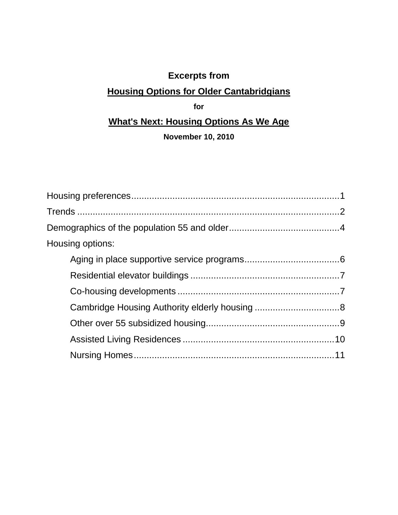# **Excerpts from**

# **Housing Options for Older Cantabridgians**

# **for**

# **What's Next: Housing Options As We Age**

## **November 10, 2010**

| Housing options: |  |
|------------------|--|
|                  |  |
|                  |  |
|                  |  |
|                  |  |
|                  |  |
|                  |  |
|                  |  |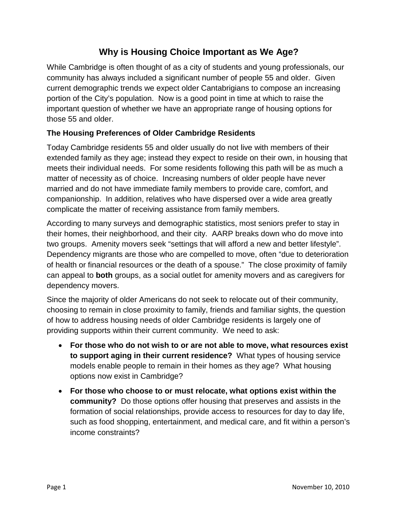# **Why is Housing Choice Important as We Age?**

While Cambridge is often thought of as a city of students and young professionals, our community has always included a significant number of people 55 and older. Given current demographic trends we expect older Cantabrigians to compose an increasing portion of the City's population. Now is a good point in time at which to raise the important question of whether we have an appropriate range of housing options for those 55 and older.

### **The Housing Preferences of Older Cambridge Residents**

Today Cambridge residents 55 and older usually do not live with members of their extended family as they age; instead they expect to reside on their own, in housing that meets their individual needs. For some residents following this path will be as much a matter of necessity as of choice. Increasing numbers of older people have never married and do not have immediate family members to provide care, comfort, and companionship. In addition, relatives who have dispersed over a wide area greatly complicate the matter of receiving assistance from family members.

According to many surveys and demographic statistics, most seniors prefer to stay in their homes, their neighborhood, and their city. AARP breaks down who do move into two groups. Amenity movers seek "settings that will afford a new and better lifestyle". Dependency migrants are those who are compelled to move, often "due to deterioration of health or financial resources or the death of a spouse." The close proximity of family can appeal to **both** groups, as a social outlet for amenity movers and as caregivers for dependency movers.

Since the majority of older Americans do not seek to relocate out of their community, choosing to remain in close proximity to family, friends and familiar sights, the question of how to address housing needs of older Cambridge residents is largely one of providing supports within their current community. We need to ask:

- **For those who do not wish to or are not able to move, what resources exist to support aging in their current residence?** What types of housing service models enable people to remain in their homes as they age? What housing options now exist in Cambridge?
- **For those who choose to or must relocate, what options exist within the community?** Do those options offer housing that preserves and assists in the formation of social relationships, provide access to resources for day to day life, such as food shopping, entertainment, and medical care, and fit within a person's income constraints?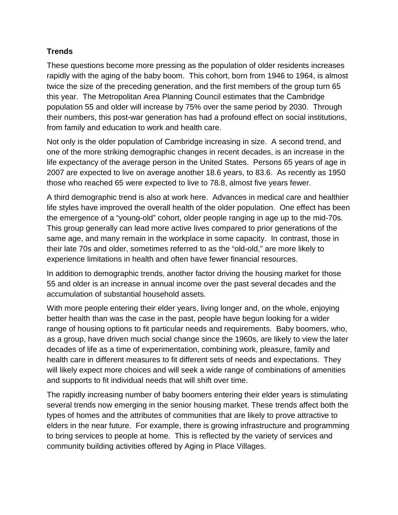#### **Trends**

These questions become more pressing as the population of older residents increases rapidly with the aging of the baby boom. This cohort, born from 1946 to 1964, is almost twice the size of the preceding generation, and the first members of the group turn 65 this year. The Metropolitan Area Planning Council estimates that the Cambridge population 55 and older will increase by 75% over the same period by 2030. Through their numbers, this post-war generation has had a profound effect on social institutions, from family and education to work and health care.

Not only is the older population of Cambridge increasing in size. A second trend, and one of the more striking demographic changes in recent decades, is an increase in the life expectancy of the average person in the United States. Persons 65 years of age in 2007 are expected to live on average another 18.6 years, to 83.6. As recently as 1950 those who reached 65 were expected to live to 78.8, almost five years fewer.

A third demographic trend is also at work here. Advances in medical care and healthier life styles have improved the overall health of the older population. One effect has been the emergence of a "young-old" cohort, older people ranging in age up to the mid-70s. This group generally can lead more active lives compared to prior generations of the same age, and many remain in the workplace in some capacity. In contrast, those in their late 70s and older, sometimes referred to as the "old-old," are more likely to experience limitations in health and often have fewer financial resources.

In addition to demographic trends, another factor driving the housing market for those 55 and older is an increase in annual income over the past several decades and the accumulation of substantial household assets.

With more people entering their elder years, living longer and, on the whole, enjoying better health than was the case in the past, people have begun looking for a wider range of housing options to fit particular needs and requirements. Baby boomers, who, as a group, have driven much social change since the 1960s, are likely to view the later decades of life as a time of experimentation, combining work, pleasure, family and health care in different measures to fit different sets of needs and expectations. They will likely expect more choices and will seek a wide range of combinations of amenities and supports to fit individual needs that will shift over time.

The rapidly increasing number of baby boomers entering their elder years is stimulating several trends now emerging in the senior housing market. These trends affect both the types of homes and the attributes of communities that are likely to prove attractive to elders in the near future. For example, there is growing infrastructure and programming to bring services to people at home. This is reflected by the variety of services and community building activities offered by Aging in Place Villages.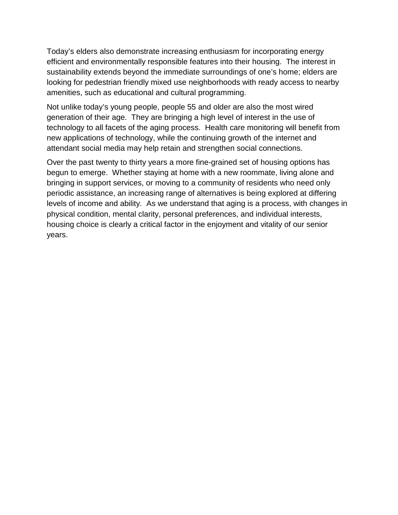Today's elders also demonstrate increasing enthusiasm for incorporating energy efficient and environmentally responsible features into their housing. The interest in sustainability extends beyond the immediate surroundings of one's home; elders are looking for pedestrian friendly mixed use neighborhoods with ready access to nearby amenities, such as educational and cultural programming.

Not unlike today's young people, people 55 and older are also the most wired generation of their age. They are bringing a high level of interest in the use of technology to all facets of the aging process. Health care monitoring will benefit from new applications of technology, while the continuing growth of the internet and attendant social media may help retain and strengthen social connections.

Over the past twenty to thirty years a more fine-grained set of housing options has begun to emerge. Whether staying at home with a new roommate, living alone and bringing in support services, or moving to a community of residents who need only periodic assistance, an increasing range of alternatives is being explored at differing levels of income and ability. As we understand that aging is a process, with changes in physical condition, mental clarity, personal preferences, and individual interests, housing choice is clearly a critical factor in the enjoyment and vitality of our senior years.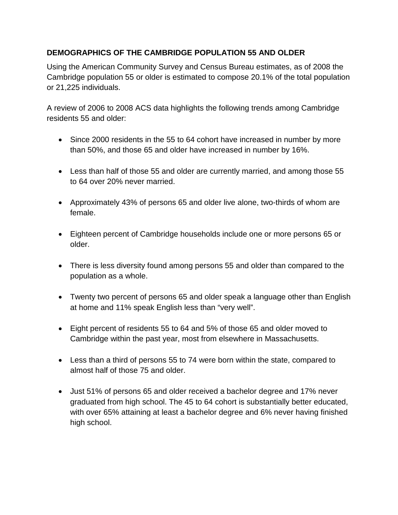#### **DEMOGRAPHICS OF THE CAMBRIDGE POPULATION 55 AND OLDER**

Using the American Community Survey and Census Bureau estimates, as of 2008 the Cambridge population 55 or older is estimated to compose 20.1% of the total population or 21,225 individuals.

A review of 2006 to 2008 ACS data highlights the following trends among Cambridge residents 55 and older:

- Since 2000 residents in the 55 to 64 cohort have increased in number by more than 50%, and those 65 and older have increased in number by 16%.
- Less than half of those 55 and older are currently married, and among those 55 to 64 over 20% never married.
- Approximately 43% of persons 65 and older live alone, two-thirds of whom are female.
- Eighteen percent of Cambridge households include one or more persons 65 or older.
- There is less diversity found among persons 55 and older than compared to the population as a whole.
- Twenty two percent of persons 65 and older speak a language other than English at home and 11% speak English less than "very well".
- Eight percent of residents 55 to 64 and 5% of those 65 and older moved to Cambridge within the past year, most from elsewhere in Massachusetts.
- Less than a third of persons 55 to 74 were born within the state, compared to almost half of those 75 and older.
- Just 51% of persons 65 and older received a bachelor degree and 17% never graduated from high school. The 45 to 64 cohort is substantially better educated, with over 65% attaining at least a bachelor degree and 6% never having finished high school.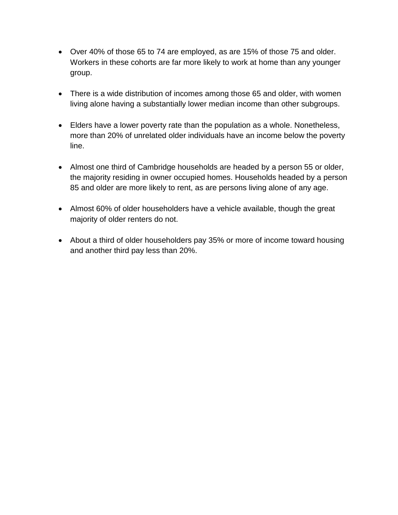- Over 40% of those 65 to 74 are employed, as are 15% of those 75 and older. Workers in these cohorts are far more likely to work at home than any younger group.
- There is a wide distribution of incomes among those 65 and older, with women living alone having a substantially lower median income than other subgroups.
- Elders have a lower poverty rate than the population as a whole. Nonetheless, more than 20% of unrelated older individuals have an income below the poverty line.
- Almost one third of Cambridge households are headed by a person 55 or older, the majority residing in owner occupied homes. Households headed by a person 85 and older are more likely to rent, as are persons living alone of any age.
- Almost 60% of older householders have a vehicle available, though the great majority of older renters do not.
- About a third of older householders pay 35% or more of income toward housing and another third pay less than 20%.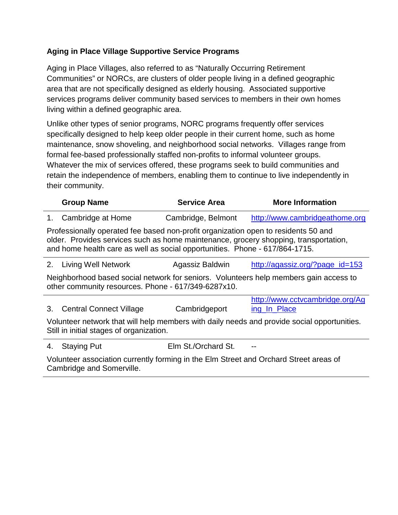### **Aging in Place Village Supportive Service Programs**

Aging in Place Villages, also referred to as "Naturally Occurring Retirement Communities" or NORCs, are clusters of older people living in a defined geographic area that are not specifically designed as elderly housing. Associated supportive services programs deliver community based services to members in their own homes living within a defined geographic area.

Unlike other types of senior programs, NORC programs frequently offer services specifically designed to help keep older people in their current home, such as home maintenance, snow shoveling, and neighborhood social networks. Villages range from formal fee-based professionally staffed non-profits to informal volunteer groups. Whatever the mix of services offered, these programs seek to build communities and retain the independence of members, enabling them to continue to live independently in their community.

|                                                                                                                                              | <b>Group Name</b>                                                                                                                                                                                                                                         | <b>Service Area</b> | <b>More Information</b>                                                                     |  |
|----------------------------------------------------------------------------------------------------------------------------------------------|-----------------------------------------------------------------------------------------------------------------------------------------------------------------------------------------------------------------------------------------------------------|---------------------|---------------------------------------------------------------------------------------------|--|
| $1_{-}$                                                                                                                                      | Cambridge at Home                                                                                                                                                                                                                                         | Cambridge, Belmont  | http://www.cambridgeathome.org                                                              |  |
|                                                                                                                                              | Professionally operated fee based non-profit organization open to residents 50 and<br>older. Provides services such as home maintenance, grocery shopping, transportation,<br>and home health care as well as social opportunities. Phone - 617/864-1715. |                     |                                                                                             |  |
| 2.                                                                                                                                           | Living Well Network                                                                                                                                                                                                                                       | Agassiz Baldwin     | http://agassiz.org/?page_id=153                                                             |  |
| Neighborhood based social network for seniors. Volunteers help members gain access to<br>other community resources. Phone - 617/349-6287x10. |                                                                                                                                                                                                                                                           |                     |                                                                                             |  |
| 3.                                                                                                                                           | <b>Central Connect Village</b>                                                                                                                                                                                                                            | Cambridgeport       | http://www.cctvcambridge.org/Ag<br>ing In Place                                             |  |
|                                                                                                                                              | Still in initial stages of organization.                                                                                                                                                                                                                  |                     | Volunteer network that will help members with daily needs and provide social opportunities. |  |
| 4.                                                                                                                                           | <b>Staying Put</b>                                                                                                                                                                                                                                        | Elm St./Orchard St. |                                                                                             |  |

Volunteer association currently forming in the Elm Street and Orchard Street areas of Cambridge and Somerville.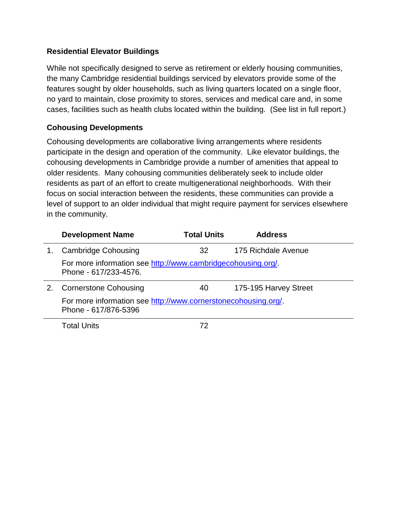#### **Residential Elevator Buildings**

While not specifically designed to serve as retirement or elderly housing communities, the many Cambridge residential buildings serviced by elevators provide some of the features sought by older households, such as living quarters located on a single floor, no yard to maintain, close proximity to stores, services and medical care and, in some cases, facilities such as health clubs located within the building. (See list in full report.)

#### **Cohousing Developments**

Cohousing developments are collaborative living arrangements where residents participate in the design and operation of the community. Like elevator buildings, the cohousing developments in Cambridge provide a number of amenities that appeal to older residents. Many cohousing communities deliberately seek to include older residents as part of an effort to create multigenerational neighborhoods. With their focus on social interaction between the residents, these communities can provide a level of support to an older individual that might require payment for services elsewhere in the community.

|    | <b>Development Name</b>                                                                | <b>Total Units</b> | <b>Address</b>        |  |
|----|----------------------------------------------------------------------------------------|--------------------|-----------------------|--|
| 1. | <b>Cambridge Cohousing</b>                                                             | 32                 | 175 Richdale Avenue   |  |
|    | For more information see http://www.cambridgecohousing.org/.<br>Phone - 617/233-4576.  |                    |                       |  |
| 2. | <b>Cornerstone Cohousing</b>                                                           | 40                 | 175-195 Harvey Street |  |
|    | For more information see http://www.cornerstonecohousing.org/.<br>Phone - 617/876-5396 |                    |                       |  |
|    | .                                                                                      |                    |                       |  |

Total Units 72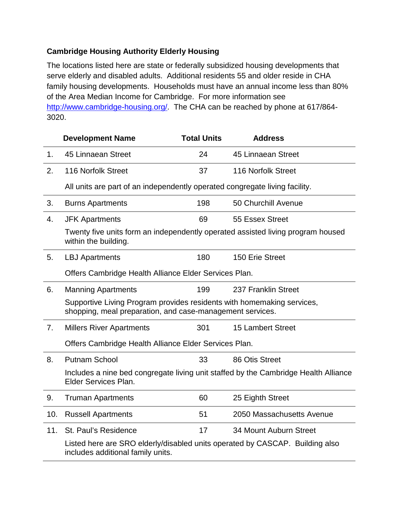### **Cambridge Housing Authority Elderly Housing**

The locations listed here are state or federally subsidized housing developments that serve elderly and disabled adults. Additional residents 55 and older reside in CHA family housing developments. Households must have an annual income less than 80% of the Area Median Income for Cambridge. For more information see [http://www.cambridge-housing.org/.](http://www.cambridge-housing.org/) The CHA can be reached by phone at 617/864- 3020.

|                | <b>Development Name</b>                                                                                                             | <b>Total Units</b> | <b>Address</b>                                                                      |
|----------------|-------------------------------------------------------------------------------------------------------------------------------------|--------------------|-------------------------------------------------------------------------------------|
| 1 <sub>1</sub> | 45 Linnaean Street                                                                                                                  | 24                 | 45 Linnaean Street                                                                  |
| 2.             | 116 Norfolk Street                                                                                                                  | 37                 | 116 Norfolk Street                                                                  |
|                | All units are part of an independently operated congregate living facility.                                                         |                    |                                                                                     |
| 3.             | <b>Burns Apartments</b>                                                                                                             | 198                | 50 Churchill Avenue                                                                 |
| 4.             | <b>JFK Apartments</b>                                                                                                               | 69                 | 55 Essex Street                                                                     |
|                | within the building.                                                                                                                |                    | Twenty five units form an independently operated assisted living program housed     |
| 5.             | <b>LBJ Apartments</b>                                                                                                               | 180                | 150 Erie Street                                                                     |
|                | Offers Cambridge Health Alliance Elder Services Plan.                                                                               |                    |                                                                                     |
| 6.             | <b>Manning Apartments</b>                                                                                                           | 199                | 237 Franklin Street                                                                 |
|                | Supportive Living Program provides residents with homemaking services,<br>shopping, meal preparation, and case-management services. |                    |                                                                                     |
| 7.             | <b>Millers River Apartments</b>                                                                                                     | 301                | <b>15 Lambert Street</b>                                                            |
|                | Offers Cambridge Health Alliance Elder Services Plan.                                                                               |                    |                                                                                     |
| 8.             | <b>Putnam School</b>                                                                                                                | 33                 | 86 Otis Street                                                                      |
|                | Elder Services Plan.                                                                                                                |                    | Includes a nine bed congregate living unit staffed by the Cambridge Health Alliance |
| 9.             | <b>Truman Apartments</b>                                                                                                            | 60                 | 25 Eighth Street                                                                    |
| 10.            | <b>Russell Apartments</b>                                                                                                           | 51                 | 2050 Massachusetts Avenue                                                           |
| 11.            | St. Paul's Residence                                                                                                                | 17                 | 34 Mount Auburn Street                                                              |
|                | Listed here are SRO elderly/disabled units operated by CASCAP. Building also<br>includes additional family units.                   |                    |                                                                                     |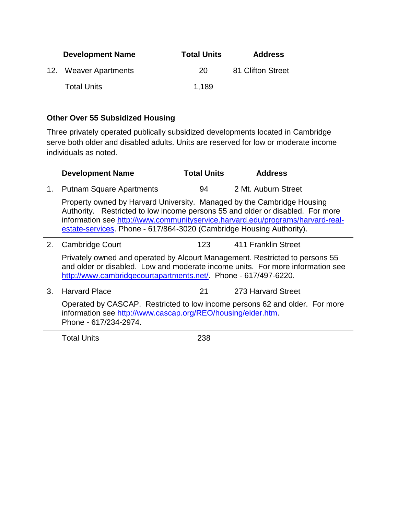| <b>Development Name</b> | <b>Total Units</b> | <b>Address</b>    |
|-------------------------|--------------------|-------------------|
| 12. Weaver Apartments   | 20                 | 81 Clifton Street |
| <b>Total Units</b>      | 1.189              |                   |

#### **Other Over 55 Subsidized Housing**

Three privately operated publically subsidized developments located in Cambridge serve both older and disabled adults. Units are reserved for low or moderate income individuals as noted.

|    | <b>Development Name</b>                                                                                                                                                                                                                                                                                            | <b>Total Units</b> | <b>Address</b>      |  |
|----|--------------------------------------------------------------------------------------------------------------------------------------------------------------------------------------------------------------------------------------------------------------------------------------------------------------------|--------------------|---------------------|--|
| 1. | <b>Putnam Square Apartments</b>                                                                                                                                                                                                                                                                                    | 94                 | 2 Mt. Auburn Street |  |
|    | Property owned by Harvard University. Managed by the Cambridge Housing<br>Authority. Restricted to low income persons 55 and older or disabled. For more<br>information see http://www.communityservice.harvard.edu/programs/harvard-real-<br>estate-services. Phone - 617/864-3020 (Cambridge Housing Authority). |                    |                     |  |
| 2. | Cambridge Court                                                                                                                                                                                                                                                                                                    | 123.               | 411 Franklin Street |  |
|    | Privately owned and operated by Alcourt Management. Restricted to persons 55<br>and older or disabled. Low and moderate income units. For more information see<br>http://www.cambridgecourtapartments.net/. Phone - 617/497-6220.                                                                                  |                    |                     |  |
| 3. | <b>Harvard Place</b>                                                                                                                                                                                                                                                                                               | 21                 | 273 Harvard Street  |  |
|    | Operated by CASCAP. Restricted to low income persons 62 and older. For more<br>information see http://www.cascap.org/REO/housing/elder.htm.<br>Phone - 617/234-2974.                                                                                                                                               |                    |                     |  |
|    |                                                                                                                                                                                                                                                                                                                    |                    |                     |  |

Total Units 238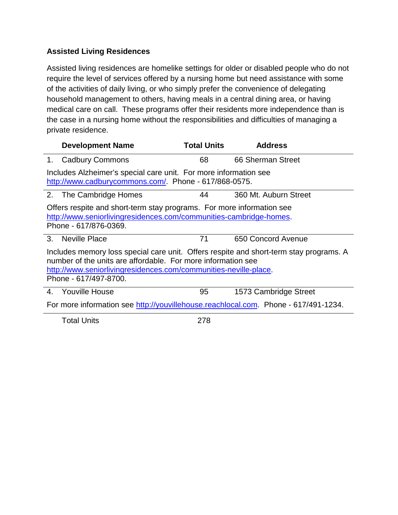### **Assisted Living Residences**

Assisted living residences are homelike settings for older or disabled people who do not require the level of services offered by a nursing home but need assistance with some of the activities of daily living, or who simply prefer the convenience of delegating household management to others, having meals in a central dining area, or having medical care on call. These programs offer their residents more independence than is the case in a nursing home without the responsibilities and difficulties of managing a private residence.

|    | <b>Development Name</b>                                                                                                                                                                                                                             | <b>Total Units</b> | <b>Address</b>        |
|----|-----------------------------------------------------------------------------------------------------------------------------------------------------------------------------------------------------------------------------------------------------|--------------------|-----------------------|
| 1. | <b>Cadbury Commons</b>                                                                                                                                                                                                                              | 68                 | 66 Sherman Street     |
|    | Includes Alzheimer's special care unit. For more information see<br>http://www.cadburycommons.com/. Phone - 617/868-0575.                                                                                                                           |                    |                       |
|    | 2. The Cambridge Homes                                                                                                                                                                                                                              | 44                 | 360 Mt. Auburn Street |
|    | Offers respite and short-term stay programs. For more information see<br>http://www.seniorlivingresidences.com/communities-cambridge-homes.<br>Phone - 617/876-0369.                                                                                |                    |                       |
|    | 3. Neville Place                                                                                                                                                                                                                                    | 71                 | 650 Concord Avenue    |
|    | Includes memory loss special care unit. Offers respite and short-term stay programs. A<br>number of the units are affordable. For more information see<br>http://www.seniorlivingresidences.com/communities-neville-place.<br>Phone - 617/497-8700. |                    |                       |
| 4. | Youville House                                                                                                                                                                                                                                      | 95                 | 1573 Cambridge Street |
|    | For more information see http://youvillehouse.reachlocal.com. Phone - 617/491-1234.                                                                                                                                                                 |                    |                       |
|    | <b>Total Units</b>                                                                                                                                                                                                                                  | 278                |                       |